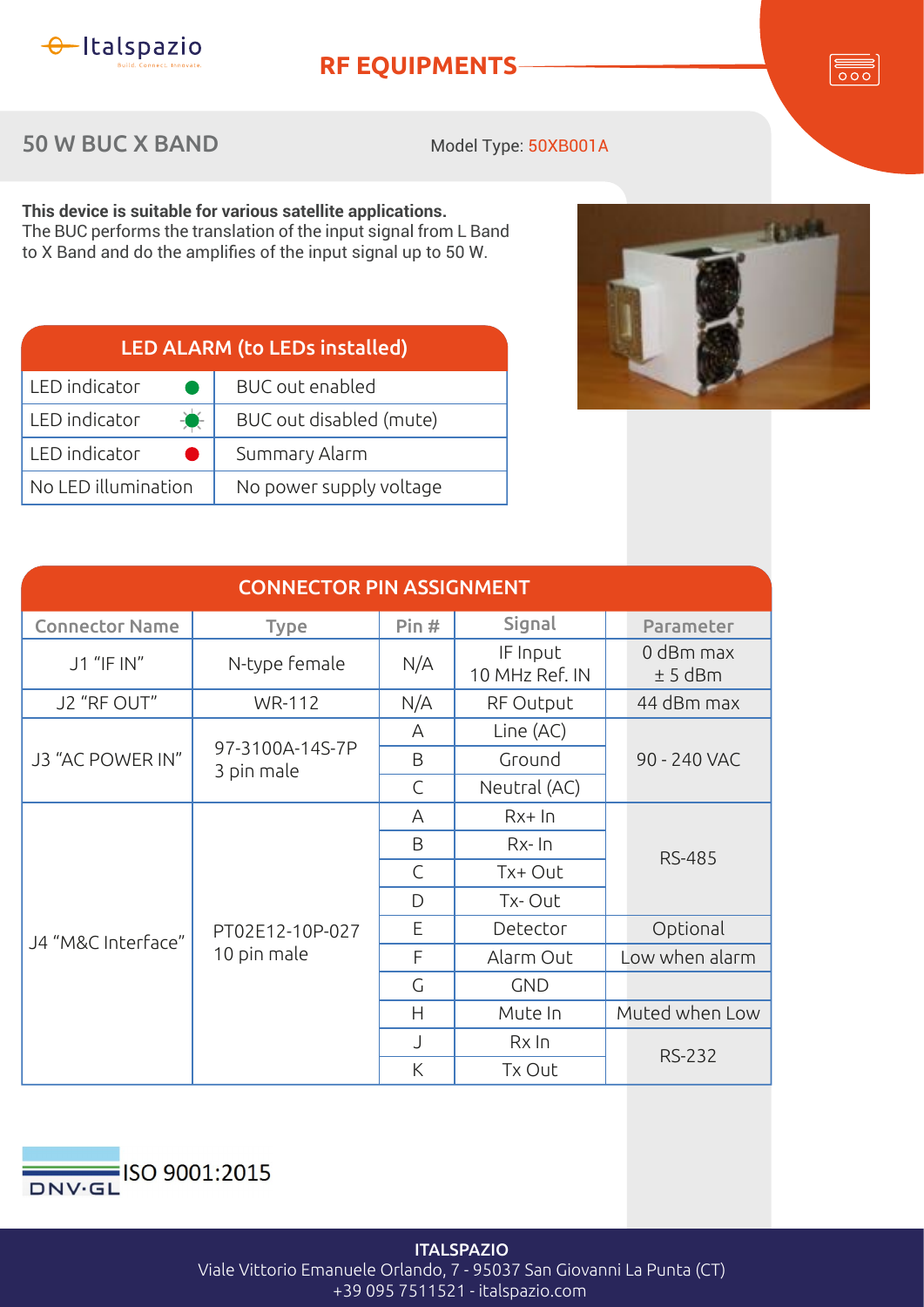

## **RF EQUIPMENTS**

 $\overline{\circ\circ}$ 

## 50 W BUC X BAND

Model Type: 50XB001A

**This device is suitable for various satellite applications.** The BUC performs the translation of the input signal from L Band to X Band and do the amplifies of the input signal up to 50 W.

| <b>LED ALARM (to LEDs installed)</b> |                         |  |  |  |
|--------------------------------------|-------------------------|--|--|--|
| LED indicator                        | <b>BUC</b> out enabled  |  |  |  |
| LED indicator<br>$\bullet$           | BUC out disabled (mute) |  |  |  |
| LED indicator                        | Summary Alarm           |  |  |  |
| No LED illumination                  | No power supply voltage |  |  |  |
|                                      |                         |  |  |  |



| <b>CONNECTOR PIN ASSIGNMENT</b> |                                |              |                            |                        |  |  |
|---------------------------------|--------------------------------|--------------|----------------------------|------------------------|--|--|
| <b>Connector Name</b>           | <b>Type</b>                    | Pin#         | Signal                     | Parameter              |  |  |
| J1 "IF IN"                      | N-type female                  | N/A          | IF Input<br>10 MHz Ref. IN | 0 dBm max<br>$± 5$ dBm |  |  |
| J2 "RF OUT"                     | <b>WR-112</b>                  | N/A          | RF Output                  | 44 dBm max             |  |  |
| J3 "AC POWER IN"                |                                | A            | Line (AC)                  | 90 - 240 VAC           |  |  |
|                                 | 97-3100A-14S-7P<br>3 pin male  | B            | Ground                     |                        |  |  |
|                                 |                                | $\mathsf{C}$ | Neutral (AC)               |                        |  |  |
| J4 "M&C Interface"              | PT02E12-10P-027<br>10 pin male | A            | $Rx+In$                    |                        |  |  |
|                                 |                                | B            | $Rx$ - $In$                | <b>RS-485</b>          |  |  |
|                                 |                                | $\mathsf{C}$ | Tx+ Out                    |                        |  |  |
|                                 |                                | D            | Tx-Out                     |                        |  |  |
|                                 |                                | E            | Detector                   | Optional               |  |  |
|                                 |                                | F            | Alarm Out                  | Low when alarm         |  |  |
|                                 |                                | G            | <b>GND</b>                 |                        |  |  |
|                                 |                                | H            | Mute In                    | Muted when Low         |  |  |
|                                 |                                | J            | Rx In                      | <b>RS-232</b>          |  |  |
|                                 |                                | K            | Tx Out                     |                        |  |  |



**ITALSPAZIO** Viale Vittorio Emanuele Orlando, 7 - 95037 San Giovanni La Punta (CT) +39 095 7511521 - italspazio.com